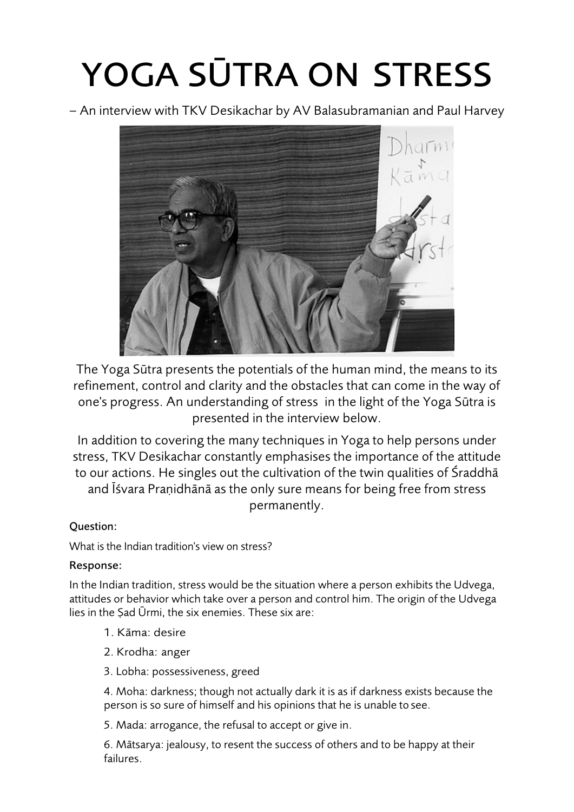# YOGA SUTRA ON STRESS

– An interview with TKV Desikachar by AV Balasubramanian and Paul Harvey



The Yoga Sūtra presents the potentials of the human mind, the means to its refinement, control and clarity and the obstacles that can come in the way of one's progress. An understanding of stress in the light of the Yoga Sūtra is presented in the interview below.

In addition to covering the many techniques in Yoga to help persons under stress, TKV Desikachar constantly emphasises the importance of the attitude to our actions. He singles out the cultivation of the twin qualities of Śraddhā and Īśvara Praṇidhānā as the only sure means for being free from stress permanently.

# Question:

What is the Indian tradition's view on stress?

# Response:

In the Indian tradition, stress would be the situation where a person exhibits the Udvega, attitudes or behavior which take over a person and control him. The origin of the Udvega lies in the Ṣad Ūrmi, the six enemies. These six are:

- 1. Kāma: desire
- 2. Krodha: anger
- 3. Lobha: possessiveness, greed

4. Moha: darkness; though not actually dark it is as if darkness exists because the person is so sure of himself and his opinions that he is unable to see.

5. Mada: arrogance, the refusal to accept or give in.

6. Mātsarya: jealousy, to resent the success of others and to be happy at their failures.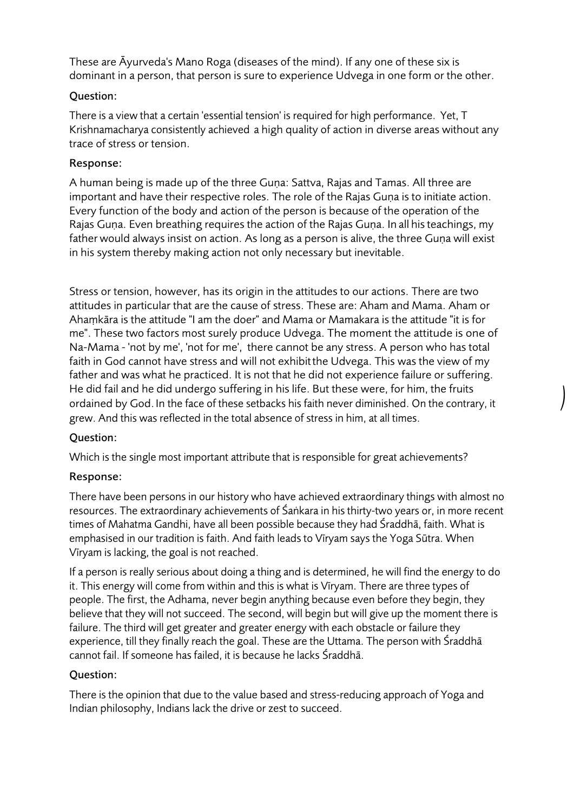These are Āyurveda's Mano Roga (diseases of the mind). If any one of these six is dominant in a person, that person is sure to experience Udvega in one form or the other.

#### Question:

There is a view that a certain 'essential tension' is required for high performance. Yet, T Krishnamacharya consistently achieved a high quality of action in diverse areas without any trace of stress or tension.

#### Response:

A human being is made up of the three Guṇa: Sattva, Rajas and Tamas. All three are important and have their respective roles. The role of the Raias Guna is to initiate action. Every function of the body and action of the person is because of the operation of the Rajas Guṇa. Even breathing requires the action of the Rajas Guṇa. In all histeachings, my father would always insist on action. As long as a person is alive, the three Guṇa will exist in his system thereby making action not only necessary but inevitable.

Stress or tension, however, has its origin in the attitudes to our actions. There are two attitudes in particular that are the cause of stress. These are: Aham and Mama. Aham or Ahaṃkāra is the attitude "I am the doer" and Mama or Mamakara is the attitude "it is for me". These two factors most surely produce Udvega. The moment the attitude is one of Na-Mama - 'not by me', 'not for me', there cannot be any stress. A person who has total faith in God cannot have stress and will not exhibitthe Udvega. This was the view of my father and was what he practiced. It is not that he did not experience failure or suffering. He did fail and he did undergo suffering in his life. But these were, for him, the fruits ordained by God.In the face of these setbacks his faith never diminished. On the contrary, it grew. And this was reflected in the total absence of stress in him, at all times.

*)*

# Question:

Which is the single most important attribute that is responsible for great achievements?

# Response:

There have been persons in our history who have achieved extraordinary things with almost no resources. The extraordinary achievements of Śaṅkara in his thirty-two years or, in more recent times of Mahatma Gandhi, have all been possible because they had Śraddhā, faith. What is emphasised in our tradition is faith. And faith leads to Vīryam says the Yoga Sūtra. When Vīryam is lacking, the goal is not reached.

If a person is really serious about doing a thing and is determined, he will find the energy to do it. This energy will come from within and this is what is Vīryam. There are three types of people. The first, the Adhama, never begin anything because even before they begin, they believe that they will not succeed. The second, will begin but will give up the moment there is failure. The third will get greater and greater energy with each obstacle or failure they experience, till they finally reach the goal. These are the Uttama. The person with Śraddhā cannot fail. If someone has failed, it is because he lacks Śraddhā.

# Question:

There is the opinion that due to the value based and stress-reducing approach of Yoga and Indian philosophy, Indians lack the drive or zest to succeed.